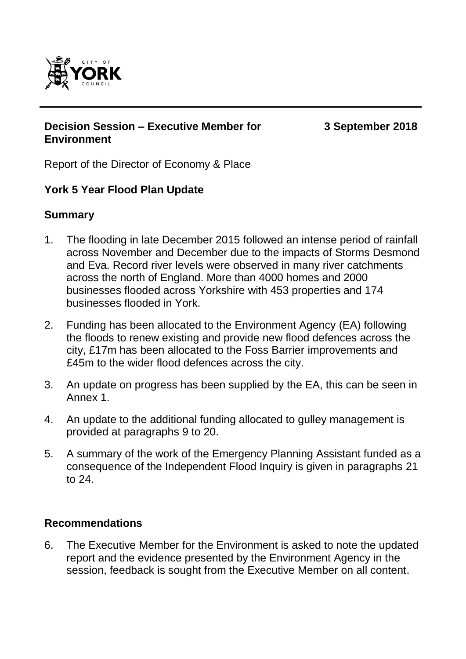

### **Decision Session – Executive Member for Environment**

**3 September 2018**

Report of the Director of Economy & Place

# **York 5 Year Flood Plan Update**

## **Summary**

- 1. The flooding in late December 2015 followed an intense period of rainfall across November and December due to the impacts of Storms Desmond and Eva. Record river levels were observed in many river catchments across the north of England. More than 4000 homes and 2000 businesses flooded across Yorkshire with 453 properties and 174 businesses flooded in York.
- 2. Funding has been allocated to the Environment Agency (EA) following the floods to renew existing and provide new flood defences across the city, £17m has been allocated to the Foss Barrier improvements and £45m to the wider flood defences across the city.
- 3. An update on progress has been supplied by the EA, this can be seen in Annex 1.
- 4. An update to the additional funding allocated to gulley management is provided at paragraphs 9 to 20.
- 5. A summary of the work of the Emergency Planning Assistant funded as a consequence of the Independent Flood Inquiry is given in paragraphs 21 to 24.

## **Recommendations**

6. The Executive Member for the Environment is asked to note the updated report and the evidence presented by the Environment Agency in the session, feedback is sought from the Executive Member on all content.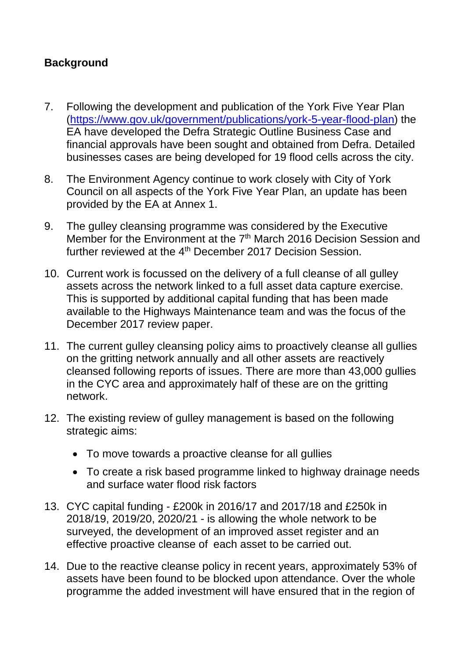# **Background**

- 7. Following the development and publication of the York Five Year Plan [\(https://www.gov.uk/government/publications/york-5-year-flood-plan\)](https://www.gov.uk/government/publications/york-5-year-flood-plan) the EA have developed the Defra Strategic Outline Business Case and financial approvals have been sought and obtained from Defra. Detailed businesses cases are being developed for 19 flood cells across the city.
- 8. The Environment Agency continue to work closely with City of York Council on all aspects of the York Five Year Plan, an update has been provided by the EA at Annex 1.
- 9. The gulley cleansing programme was considered by the Executive Member for the Environment at the 7<sup>th</sup> March 2016 Decision Session and further reviewed at the 4<sup>th</sup> December 2017 Decision Session.
- 10. Current work is focussed on the delivery of a full cleanse of all gulley assets across the network linked to a full asset data capture exercise. This is supported by additional capital funding that has been made available to the Highways Maintenance team and was the focus of the December 2017 review paper.
- 11. The current gulley cleansing policy aims to proactively cleanse all gullies on the gritting network annually and all other assets are reactively cleansed following reports of issues. There are more than 43,000 gullies in the CYC area and approximately half of these are on the gritting network.
- 12. The existing review of gulley management is based on the following strategic aims:
	- To move towards a proactive cleanse for all quilies
	- To create a risk based programme linked to highway drainage needs and surface water flood risk factors
- 13. CYC capital funding £200k in 2016/17 and 2017/18 and £250k in 2018/19, 2019/20, 2020/21 - is allowing the whole network to be surveyed, the development of an improved asset register and an effective proactive cleanse of each asset to be carried out.
- 14. Due to the reactive cleanse policy in recent years, approximately 53% of assets have been found to be blocked upon attendance. Over the whole programme the added investment will have ensured that in the region of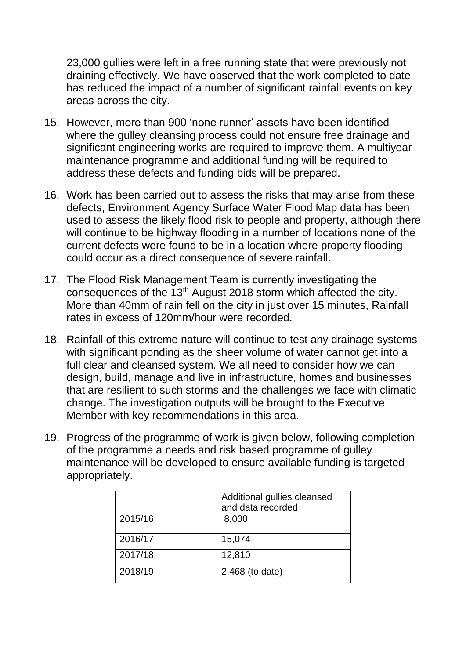23,000 gullies were left in a free running state that were previously not draining effectively. We have observed that the work completed to date has reduced the impact of a number of significant rainfall events on key areas across the city.

- 15. However, more than 900 'none runner' assets have been identified where the gulley cleansing process could not ensure free drainage and significant engineering works are required to improve them. A multiyear maintenance programme and additional funding will be required to address these defects and funding bids will be prepared.
- 16. Work has been carried out to assess the risks that may arise from these defects, Environment Agency Surface Water Flood Map data has been used to assess the likely flood risk to people and property, although there will continue to be highway flooding in a number of locations none of the current defects were found to be in a location where property flooding could occur as a direct consequence of severe rainfall.
- 17. The Flood Risk Management Team is currently investigating the consequences of the 13th August 2018 storm which affected the city. More than 40mm of rain fell on the city in just over 15 minutes, Rainfall rates in excess of 120mm/hour were recorded.
- 18. Rainfall of this extreme nature will continue to test any drainage systems with significant ponding as the sheer volume of water cannot get into a full clear and cleansed system. We all need to consider how we can design, build, manage and live in infrastructure, homes and businesses that are resilient to such storms and the challenges we face with climatic change. The investigation outputs will be brought to the Executive Member with key recommendations in this area.
- 19. Progress of the programme of work is given below, following completion of the programme a needs and risk based programme of gulley maintenance will be developed to ensure available funding is targeted appropriately.

|         | Additional gullies cleansed |  |
|---------|-----------------------------|--|
|         | and data recorded           |  |
| 2015/16 | 8,000                       |  |
| 2016/17 | 15,074                      |  |
| 2017/18 | 12,810                      |  |
| 2018/19 | 2,468 (to date)             |  |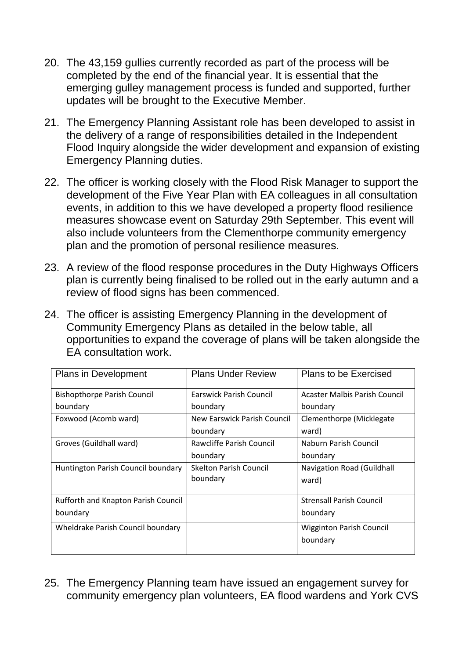- 20. The 43,159 gullies currently recorded as part of the process will be completed by the end of the financial year. It is essential that the emerging gulley management process is funded and supported, further updates will be brought to the Executive Member.
- 21. The Emergency Planning Assistant role has been developed to assist in the delivery of a range of responsibilities detailed in the Independent Flood Inquiry alongside the wider development and expansion of existing Emergency Planning duties.
- 22. The officer is working closely with the Flood Risk Manager to support the development of the Five Year Plan with EA colleagues in all consultation events, in addition to this we have developed a property flood resilience measures showcase event on Saturday 29th September. This event will also include volunteers from the Clementhorpe community emergency plan and the promotion of personal resilience measures.
- 23. A review of the flood response procedures in the Duty Highways Officers plan is currently being finalised to be rolled out in the early autumn and a review of flood signs has been commenced.
- 24. The officer is assisting Emergency Planning in the development of Community Emergency Plans as detailed in the below table, all opportunities to expand the coverage of plans will be taken alongside the EA consultation work.

| <b>Plans in Development</b>         | <b>Plans Under Review</b>     | Plans to be Exercised           |
|-------------------------------------|-------------------------------|---------------------------------|
| <b>Bishopthorpe Parish Council</b>  | Earswick Parish Council       | Acaster Malbis Parish Council   |
| boundary                            | boundary                      | boundary                        |
| Foxwood (Acomb ward)                | New Earswick Parish Council   | Clementhorpe (Micklegate        |
|                                     | boundary                      | ward)                           |
| Groves (Guildhall ward)             | Rawcliffe Parish Council      | Naburn Parish Council           |
|                                     | boundary                      | boundary                        |
| Huntington Parish Council boundary  | <b>Skelton Parish Council</b> | Navigation Road (Guildhall      |
|                                     | boundary                      | ward)                           |
|                                     |                               |                                 |
| Rufforth and Knapton Parish Council |                               | <b>Strensall Parish Council</b> |
| boundary                            |                               | boundary                        |
| Wheldrake Parish Council boundary   |                               | <b>Wigginton Parish Council</b> |
|                                     |                               | boundary                        |
|                                     |                               |                                 |

25. The Emergency Planning team have issued an engagement survey for community emergency plan volunteers, EA flood wardens and York CVS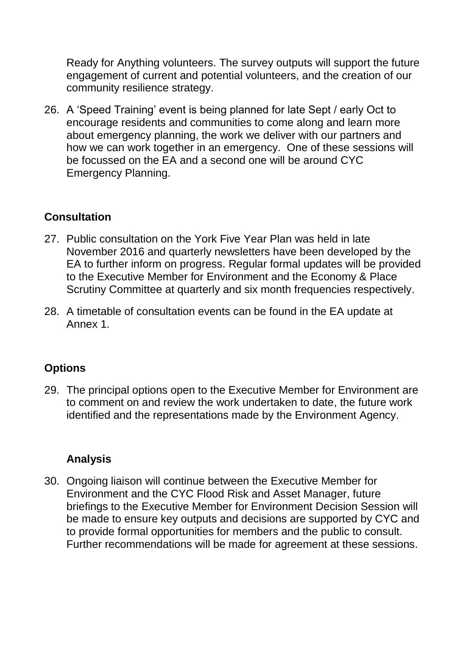Ready for Anything volunteers. The survey outputs will support the future engagement of current and potential volunteers, and the creation of our community resilience strategy.

26. A 'Speed Training' event is being planned for late Sept / early Oct to encourage residents and communities to come along and learn more about emergency planning, the work we deliver with our partners and how we can work together in an emergency. One of these sessions will be focussed on the EA and a second one will be around CYC Emergency Planning.

# **Consultation**

- 27. Public consultation on the York Five Year Plan was held in late November 2016 and quarterly newsletters have been developed by the EA to further inform on progress. Regular formal updates will be provided to the Executive Member for Environment and the Economy & Place Scrutiny Committee at quarterly and six month frequencies respectively.
- 28. A timetable of consultation events can be found in the EA update at Annex 1.

# **Options**

29. The principal options open to the Executive Member for Environment are to comment on and review the work undertaken to date, the future work identified and the representations made by the Environment Agency.

# **Analysis**

30. Ongoing liaison will continue between the Executive Member for Environment and the CYC Flood Risk and Asset Manager, future briefings to the Executive Member for Environment Decision Session will be made to ensure key outputs and decisions are supported by CYC and to provide formal opportunities for members and the public to consult. Further recommendations will be made for agreement at these sessions.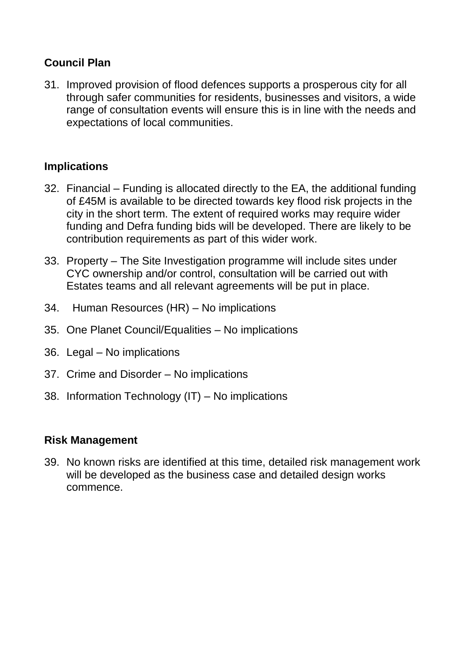## **Council Plan**

31. Improved provision of flood defences supports a prosperous city for all through safer communities for residents, businesses and visitors, a wide range of consultation events will ensure this is in line with the needs and expectations of local communities.

# **Implications**

- 32. Financial Funding is allocated directly to the EA, the additional funding of £45M is available to be directed towards key flood risk projects in the city in the short term. The extent of required works may require wider funding and Defra funding bids will be developed. There are likely to be contribution requirements as part of this wider work.
- 33. Property The Site Investigation programme will include sites under CYC ownership and/or control, consultation will be carried out with Estates teams and all relevant agreements will be put in place.
- 34. Human Resources (HR) No implications
- 35. One Planet Council/Equalities No implications
- 36. Legal No implications
- 37. Crime and Disorder No implications
- 38. Information Technology (IT) No implications

## **Risk Management**

39. No known risks are identified at this time, detailed risk management work will be developed as the business case and detailed design works commence.